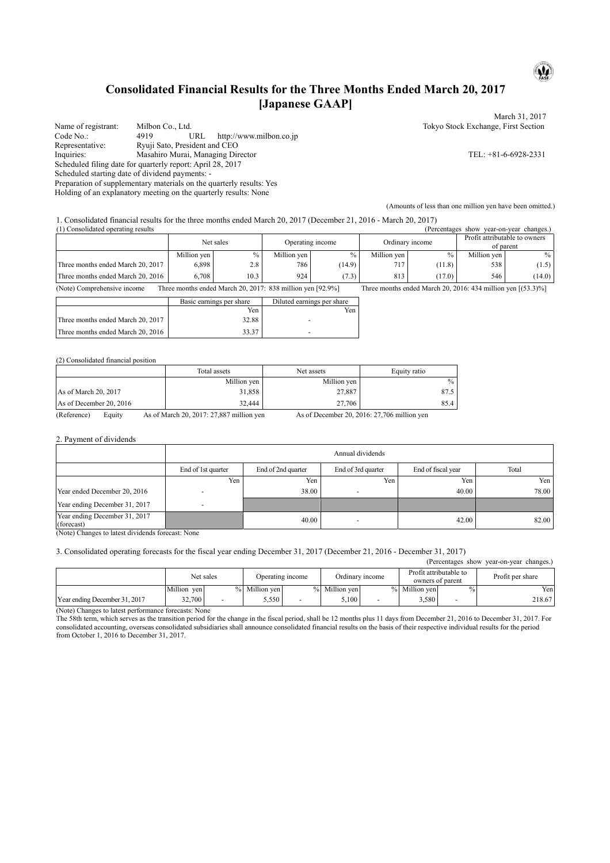# **Consolidated Financial Results for the Three Months Ended March 20, 2017 [Japanese GAAP]**

Name of registrant: Milbon Co., Ltd. <br>
Code No.: 4919 URL http://www.milbon.co.ip<br>
Code No.: 4919 URL http://www.milbon.co.ip http://www.milbon.co.jp Representative: Ryuji Sato, President and CEO Inquiries: Masahiro Murai, Managing Director TEL: +81-6-6928-2331 Scheduled filing date for quarterly report: April 28, 2017 Scheduled starting date of dividend payments: -

Preparation of supplementary materials on the quarterly results: Yes

Holding of an explanatory meeting on the quarterly results: None

March 31, 2017

 $\mathbf{\omega}$ 

(Amounts of less than one million yen have been omitted.)

1. Consolidated financial results for the three months ended March 20, 2017 (December 21, 2016 - March 20, 2017)<br>(Derection results  $(1)$  Constants chow year-on-year changes.)

| . ГСОПЗОНДАЮД ОБСТАНИЕ ГОЗИНЭ     |             | Net sales |             | Operating income |             | u ciccinazco<br>Ordinary income | 5110W<br>vear-on-vear enanzes.<br>Profit attributable to owners<br>of parent |        |
|-----------------------------------|-------------|-----------|-------------|------------------|-------------|---------------------------------|------------------------------------------------------------------------------|--------|
|                                   | Million yen | $\%$      | Million ven | $\%$             | Million yen | $\%$                            | Million ven                                                                  | $\%$   |
| Three months ended March 20, 2017 | 6,898       | 2.8       | 786         | (14.9)           | 717         | (11.8)                          | 538                                                                          | (1.5)  |
| Three months ended March 20, 2016 | 6.708       | 10.3      | 924         | (7.3)            | 813         | (17.0)                          | 546                                                                          | (14.0) |

(Note) Comprehensive income Three months ended March 20, 2017: 838 million yen [92.9%] Three months ended March 20, 2016: 434 million yen [(53.3)%]

|                                   | Basic earnings per share | Diluted earnings per share |
|-----------------------------------|--------------------------|----------------------------|
|                                   | Yen                      | Yen                        |
| Three months ended March 20, 2017 | 32.88                    | $\overline{\phantom{a}}$   |
| Three months ended March 20, 2016 | 33.37                    |                            |

#### (2) Consolidated financial position

|                         | Total assets | Net assets  | Equity ratio |
|-------------------------|--------------|-------------|--------------|
|                         | Million yen  | Million yen | $\%$         |
| As of March $20.2017$   | 31,858       | 27,887      | 87.5         |
| As of December 20, 2016 | 32.444       | 27.706      | 85.4         |

(Reference) Equity As of March 20, 2017: 27,887 million yen As of December 20, 2016: 27,706 million yen

#### 2. Payment of dividends

|                                                          | Annual dividends   |                    |                    |                    |       |  |  |
|----------------------------------------------------------|--------------------|--------------------|--------------------|--------------------|-------|--|--|
|                                                          | End of 1st quarter | End of 2nd quarter | End of 3rd quarter | End of fiscal year | Total |  |  |
|                                                          | Yen                | Yen                | Yen                | Yen                | Yen   |  |  |
| Year ended December 20, 2016                             |                    | 38.00              |                    | 40.00              | 78.00 |  |  |
| Year ending December 31, 2017                            |                    |                    |                    |                    |       |  |  |
| Year ending December 31, 2017<br>(forecast)<br>.<br>____ |                    | 40.00              | -                  | 42.00              | 82.00 |  |  |

(Note) Changes to latest dividends forecast: None

#### 3. Consolidated operating forecasts for the fiscal year ending December 31, 2017 (December 21, 2016 - December 31, 2017)

| (Percentages show year-on-year changes.) |             |                               |               |                 |               |                                            |               |                  |        |
|------------------------------------------|-------------|-------------------------------|---------------|-----------------|---------------|--------------------------------------------|---------------|------------------|--------|
|                                          |             | Net sales<br>Operating income |               | Ordinary income |               | Profit attributable to<br>owners of parent |               | Profit per share |        |
|                                          | Million yen |                               | % Million ven |                 | % Million ven |                                            | % Million ven | $\%$             | Yen    |
| Year ending December 31, 2017            | 32,700      |                               | 5,550         |                 | 5.100         | $\overline{\phantom{0}}$                   | 5,580         |                  | 218.67 |

(Note) Changes to latest performance forecasts: None

The 58th term, which serves as the transition period for the change in the fiscal period, shall be 12 months plus 11 days from December 21, 2016 to December 31, 2017. For consolidated accounting, overseas consolidated subsidiaries shall announce consolidated financial results on the basis of their respective individual results for the period from October 1, 2016 to December 31, 2017.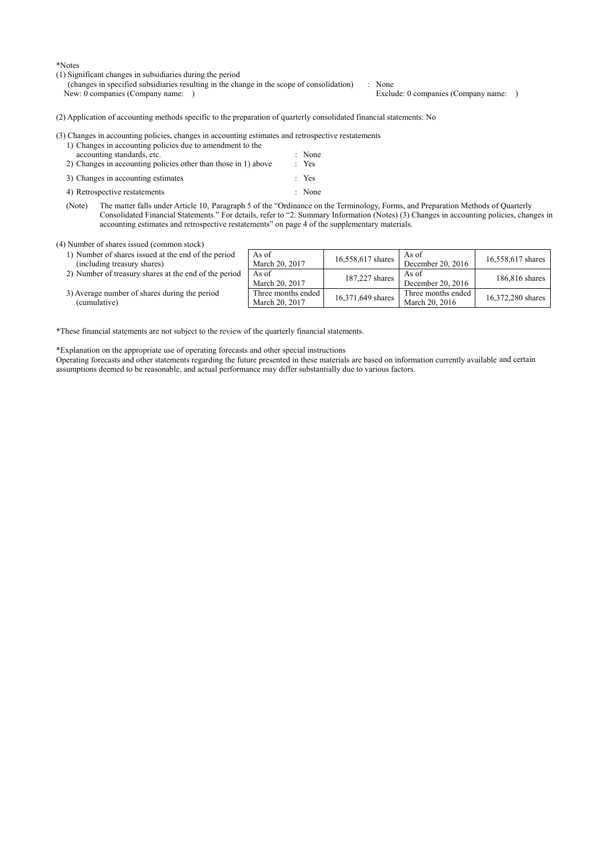\*Notes

- (1) Significant changes in subsidiaries during the period
	- (changes in specified subsidiaries resulting in the change in the scope of consolidation) : None Exclude: 0 companies (Company name: )

(2) Application of accounting methods specific to the preparation of quarterly consolidated financial statements: No

(3) Changes in accounting policies, changes in accounting estimates and retrospective restatements

- 1) Changes in accounting policies due to amendment to the accounting standards, etc.  $\blacksquare$  : None 2) Changes in accounting policies other than those in 1) above  $\cdot$  Yes 3) Changes in accounting estimates : Yes 4) Retrospective restatements : None
- (Note) The matter falls under Article 10, Paragraph 5 of the "Ordinance on the Terminology, Forms, and Preparation Methods of Quarterly Consolidated Financial Statements." For details, refer to "2. Summary Information (Notes) (3) Changes in accounting policies, changes in accounting estimates and retrospective restatements" on page 4 of the supplementary materials.

(4) Number of shares issued (common stock)

- 1) Number of shares issued at the end of the pe (including treasury shares)
- 2) Number of treasury shares at the end of the

| riod   | As of<br>March 20, 2017              | 16,558,617 shares | As of<br>December 20, 2016           | 16,558,617 shares |
|--------|--------------------------------------|-------------------|--------------------------------------|-------------------|
| period | As of<br>March 20, 2017              | 187,227 shares    | As of<br>December 20, 2016           | 186,816 shares    |
|        | Three months ended<br>March 20, 2017 | 16,371,649 shares | Three months ended<br>March 20, 2016 | 16,372,280 shares |

3) Average number of shares during the period (cumulative)

\*These financial statements are not subject to the review of the quarterly financial statements.

\*Explanation on the appropriate use of operating forecasts and other special instructions

Operating forecasts and other statements regarding the future presented in these materials are based on information currently available and certain assumptions deemed to be reasonable, and actual performance may differ substantially due to various factors.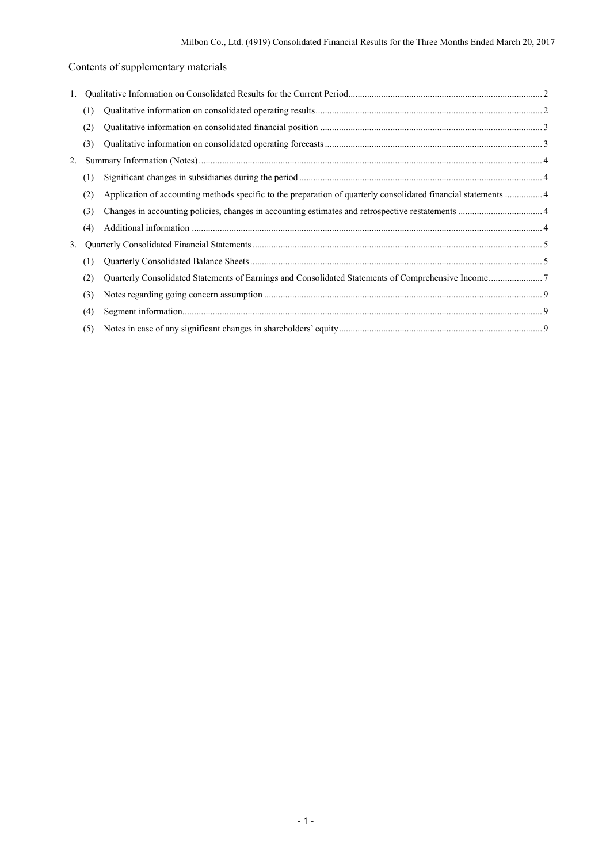# Contents of supplementary materials

| 1. |     |                                                                                                                 |  |
|----|-----|-----------------------------------------------------------------------------------------------------------------|--|
|    | (1) |                                                                                                                 |  |
|    | (2) |                                                                                                                 |  |
|    | (3) |                                                                                                                 |  |
| 2. |     |                                                                                                                 |  |
|    | (1) |                                                                                                                 |  |
|    | (2) | Application of accounting methods specific to the preparation of quarterly consolidated financial statements  4 |  |
|    | (3) |                                                                                                                 |  |
|    | (4) |                                                                                                                 |  |
| 3. |     |                                                                                                                 |  |
|    | (1) |                                                                                                                 |  |
|    | (2) |                                                                                                                 |  |
|    | (3) |                                                                                                                 |  |
|    | (4) |                                                                                                                 |  |
|    | (5) |                                                                                                                 |  |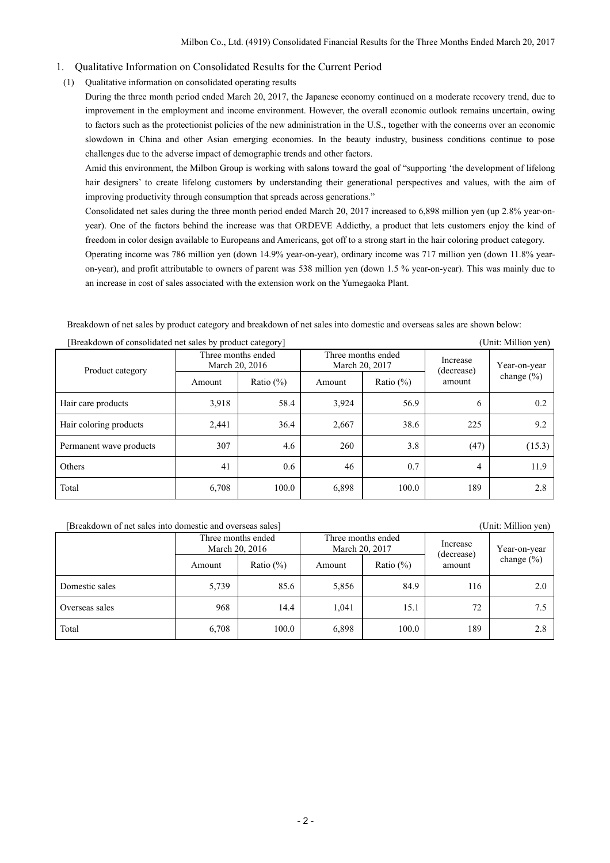#### 1. Qualitative Information on Consolidated Results for the Current Period

(1) Qualitative information on consolidated operating results

During the three month period ended March 20, 2017, the Japanese economy continued on a moderate recovery trend, due to improvement in the employment and income environment. However, the overall economic outlook remains uncertain, owing to factors such as the protectionist policies of the new administration in the U.S., together with the concerns over an economic slowdown in China and other Asian emerging economies. In the beauty industry, business conditions continue to pose challenges due to the adverse impact of demographic trends and other factors.

Amid this environment, the Milbon Group is working with salons toward the goal of "supporting 'the development of lifelong hair designers' to create lifelong customers by understanding their generational perspectives and values, with the aim of improving productivity through consumption that spreads across generations."

Consolidated net sales during the three month period ended March 20, 2017 increased to 6,898 million yen (up 2.8% year-onyear). One of the factors behind the increase was that ORDEVE Addicthy, a product that lets customers enjoy the kind of freedom in color design available to Europeans and Americans, got off to a strong start in the hair coloring product category.

Operating income was 786 million yen (down 14.9% year-on-year), ordinary income was 717 million yen (down 11.8% yearon-year), and profit attributable to owners of parent was 538 million yen (down 1.5 % year-on-year). This was mainly due to an increase in cost of sales associated with the extension work on the Yumegaoka Plant.

Breakdown of net sales by product category and breakdown of net sales into domestic and overseas sales are shown below:

| $\beta$ is reaky of the consolidated liet safes by product category $\beta$<br>тони. імпінон усп <i>і</i> |                                      |              |                                      |              |                        |                                |
|-----------------------------------------------------------------------------------------------------------|--------------------------------------|--------------|--------------------------------------|--------------|------------------------|--------------------------------|
| Product category                                                                                          | Three months ended<br>March 20, 2016 |              | Three months ended<br>March 20, 2017 |              | Increase<br>(decrease) | Year-on-year<br>change $(\% )$ |
|                                                                                                           | Amount                               | Ratio $(\%)$ | Amount                               | Ratio $(\%)$ | amount                 |                                |
| Hair care products                                                                                        | 3,918                                | 58.4         | 3,924                                | 56.9         | 6                      | 0.2                            |
| Hair coloring products                                                                                    | 2,441                                | 36.4         | 2,667                                | 38.6         | 225                    | 9.2                            |
| Permanent wave products                                                                                   | 307                                  | 4.6          | 260                                  | 3.8          | (47)                   | (15.3)                         |
| Others                                                                                                    | 41                                   | 0.6          | 46                                   | 0.7          | 4                      | 11.9                           |
| Total                                                                                                     | 6,708                                | 100.0        | 6,898                                | 100.0        | 189                    | 2.8                            |

[Breakdown of consolidated net sales by product category] (Unit: Million yen)

[Breakdown of net sales into domestic and overseas sales] (Unit: Million yen)

| $\frac{1}{2}$  |                                      |               |                |                    |                        |                |
|----------------|--------------------------------------|---------------|----------------|--------------------|------------------------|----------------|
|                | Three months ended<br>March 20, 2016 |               | March 20, 2017 | Three months ended | Increase<br>(decrease) | Year-on-year   |
|                | Amount                               | Ratio $(\% )$ | Amount         | Ratio $(\%)$       | amount                 | change $(\% )$ |
| Domestic sales | 5,739                                | 85.6          | 5,856          | 84.9               | 116                    | 2.0            |
| Overseas sales | 968                                  | 14.4          | 1.041          | 15.1               | 72                     | 7.5            |
| Total          | 6,708                                | 100.0         | 6,898          | 100.0              | 189                    | 2.8            |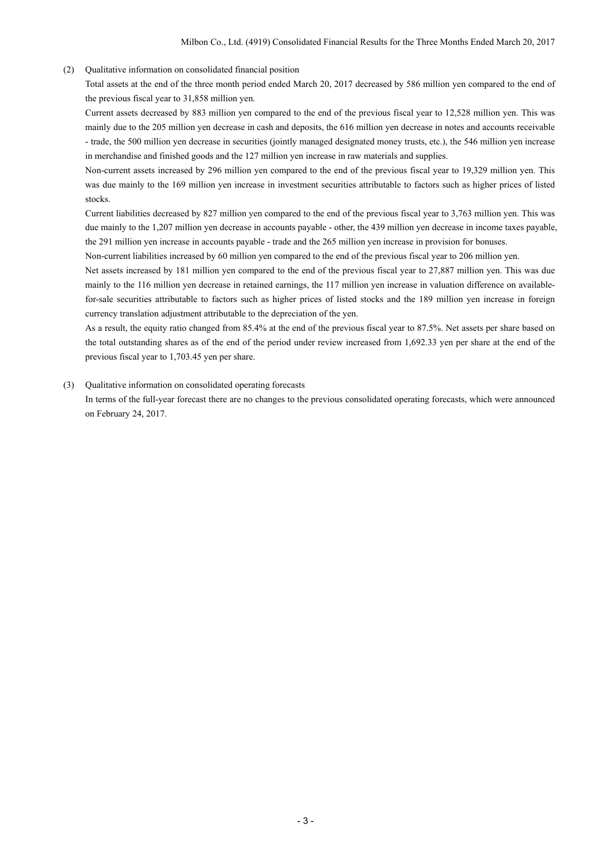### (2) Qualitative information on consolidated financial position

Total assets at the end of the three month period ended March 20, 2017 decreased by 586 million yen compared to the end of the previous fiscal year to 31,858 million yen.

Current assets decreased by 883 million yen compared to the end of the previous fiscal year to 12,528 million yen. This was mainly due to the 205 million yen decrease in cash and deposits, the 616 million yen decrease in notes and accounts receivable - trade, the 500 million yen decrease in securities (jointly managed designated money trusts, etc.), the 546 million yen increase in merchandise and finished goods and the 127 million yen increase in raw materials and supplies.

Non-current assets increased by 296 million yen compared to the end of the previous fiscal year to 19,329 million yen. This was due mainly to the 169 million yen increase in investment securities attributable to factors such as higher prices of listed stocks.

Current liabilities decreased by 827 million yen compared to the end of the previous fiscal year to 3,763 million yen. This was due mainly to the 1,207 million yen decrease in accounts payable - other, the 439 million yen decrease in income taxes payable, the 291 million yen increase in accounts payable - trade and the 265 million yen increase in provision for bonuses.

Non-current liabilities increased by 60 million yen compared to the end of the previous fiscal year to 206 million yen.

Net assets increased by 181 million yen compared to the end of the previous fiscal year to 27,887 million yen. This was due mainly to the 116 million yen decrease in retained earnings, the 117 million yen increase in valuation difference on availablefor-sale securities attributable to factors such as higher prices of listed stocks and the 189 million yen increase in foreign currency translation adjustment attributable to the depreciation of the yen.

As a result, the equity ratio changed from 85.4% at the end of the previous fiscal year to 87.5%. Net assets per share based on the total outstanding shares as of the end of the period under review increased from 1,692.33 yen per share at the end of the previous fiscal year to 1,703.45 yen per share.

#### (3) Qualitative information on consolidated operating forecasts

In terms of the full-year forecast there are no changes to the previous consolidated operating forecasts, which were announced on February 24, 2017.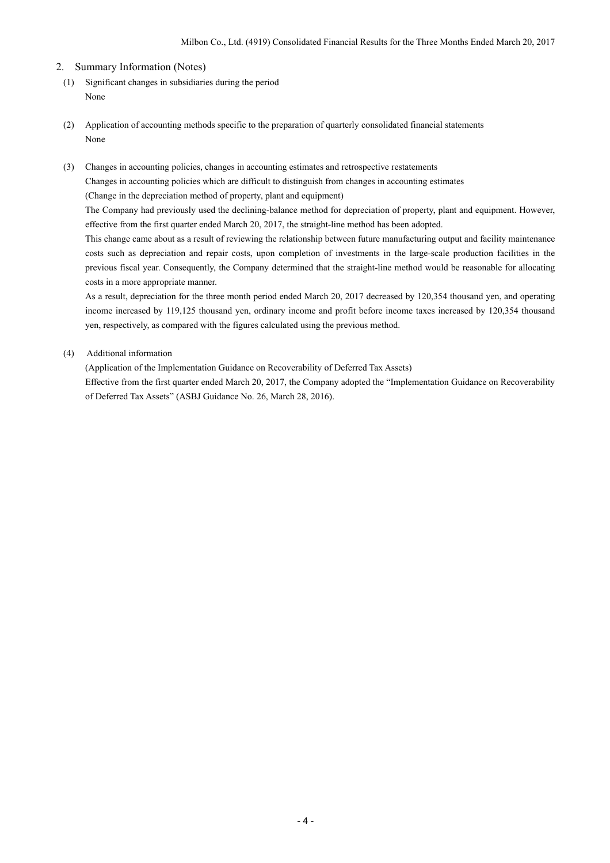### 2. Summary Information (Notes)

- (1) Significant changes in subsidiaries during the period None
- (2) Application of accounting methods specific to the preparation of quarterly consolidated financial statements None
- (3) Changes in accounting policies, changes in accounting estimates and retrospective restatements Changes in accounting policies which are difficult to distinguish from changes in accounting estimates (Change in the depreciation method of property, plant and equipment)

The Company had previously used the declining-balance method for depreciation of property, plant and equipment. However, effective from the first quarter ended March 20, 2017, the straight-line method has been adopted.

This change came about as a result of reviewing the relationship between future manufacturing output and facility maintenance costs such as depreciation and repair costs, upon completion of investments in the large-scale production facilities in the previous fiscal year. Consequently, the Company determined that the straight-line method would be reasonable for allocating costs in a more appropriate manner.

As a result, depreciation for the three month period ended March 20, 2017 decreased by 120,354 thousand yen, and operating income increased by 119,125 thousand yen, ordinary income and profit before income taxes increased by 120,354 thousand yen, respectively, as compared with the figures calculated using the previous method.

### (4) Additional information

(Application of the Implementation Guidance on Recoverability of Deferred Tax Assets)

Effective from the first quarter ended March 20, 2017, the Company adopted the "Implementation Guidance on Recoverability of Deferred Tax Assets" (ASBJ Guidance No. 26, March 28, 2016).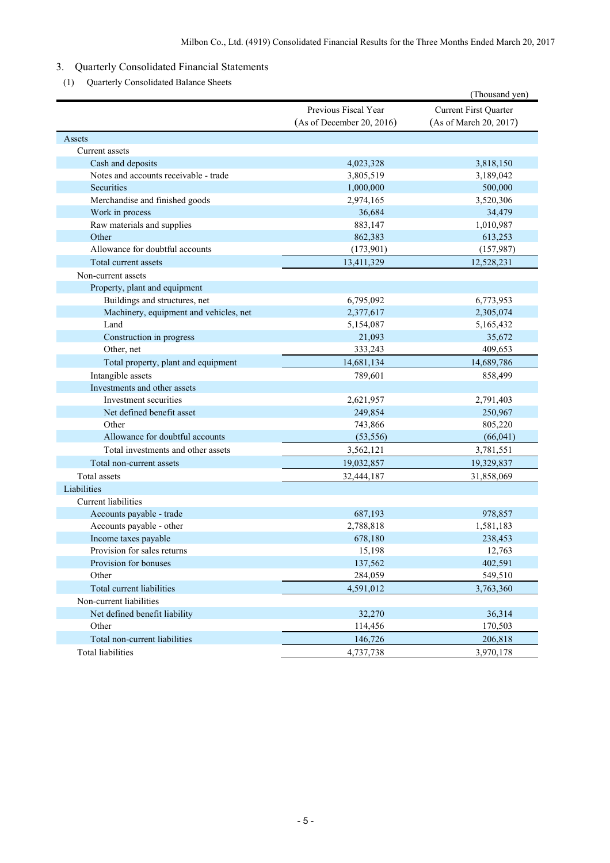## 3. Quarterly Consolidated Financial Statements

(1) Quarterly Consolidated Balance Sheets

|                                        |                                                   | (Thousand yen)                                  |
|----------------------------------------|---------------------------------------------------|-------------------------------------------------|
|                                        | Previous Fiscal Year<br>(As of December 20, 2016) | Current First Quarter<br>(As of March 20, 2017) |
| Assets                                 |                                                   |                                                 |
| Current assets                         |                                                   |                                                 |
| Cash and deposits                      | 4,023,328                                         | 3,818,150                                       |
| Notes and accounts receivable - trade  | 3,805,519                                         | 3,189,042                                       |
| Securities                             | 1,000,000                                         | 500,000                                         |
| Merchandise and finished goods         | 2,974,165                                         | 3,520,306                                       |
| Work in process                        | 36,684                                            | 34,479                                          |
| Raw materials and supplies             | 883,147                                           | 1,010,987                                       |
| Other                                  | 862,383                                           | 613,253                                         |
| Allowance for doubtful accounts        | (173,901)                                         | (157, 987)                                      |
| Total current assets                   | 13,411,329                                        | 12,528,231                                      |
| Non-current assets                     |                                                   |                                                 |
| Property, plant and equipment          |                                                   |                                                 |
| Buildings and structures, net          | 6,795,092                                         | 6,773,953                                       |
| Machinery, equipment and vehicles, net | 2,377,617                                         | 2,305,074                                       |
| Land                                   | 5,154,087                                         | 5,165,432                                       |
| Construction in progress               | 21,093                                            | 35,672                                          |
| Other, net                             | 333,243                                           | 409,653                                         |
| Total property, plant and equipment    | 14,681,134                                        | 14,689,786                                      |
| Intangible assets                      | 789,601                                           | 858,499                                         |
| Investments and other assets           |                                                   |                                                 |
| Investment securities                  | 2,621,957                                         | 2,791,403                                       |
| Net defined benefit asset              | 249,854                                           | 250,967                                         |
| Other                                  | 743,866                                           | 805,220                                         |
| Allowance for doubtful accounts        | (53, 556)                                         | (66, 041)                                       |
| Total investments and other assets     | 3,562,121                                         | 3,781,551                                       |
| Total non-current assets               | 19,032,857                                        | 19,329,837                                      |
| Total assets                           | 32,444,187                                        | 31,858,069                                      |
| Liabilities                            |                                                   |                                                 |
| Current liabilities                    |                                                   |                                                 |
| Accounts payable - trade               | 687,193                                           | 978,857                                         |
| Accounts payable - other               | 2,788,818                                         | 1,581,183                                       |
| Income taxes payable                   | 678,180                                           | 238,453                                         |
| Provision for sales returns            | 15,198                                            | 12,763                                          |
| Provision for bonuses                  | 137,562                                           | 402,591                                         |
| Other                                  | 284,059                                           | 549,510                                         |
| Total current liabilities              | 4,591,012                                         | 3,763,360                                       |
| Non-current liabilities                |                                                   |                                                 |
| Net defined benefit liability          | 32,270                                            | 36,314                                          |
| Other                                  | 114,456                                           | 170,503                                         |
| Total non-current liabilities          | 146,726                                           | 206,818                                         |
| <b>Total liabilities</b>               | 4,737,738                                         | 3,970,178                                       |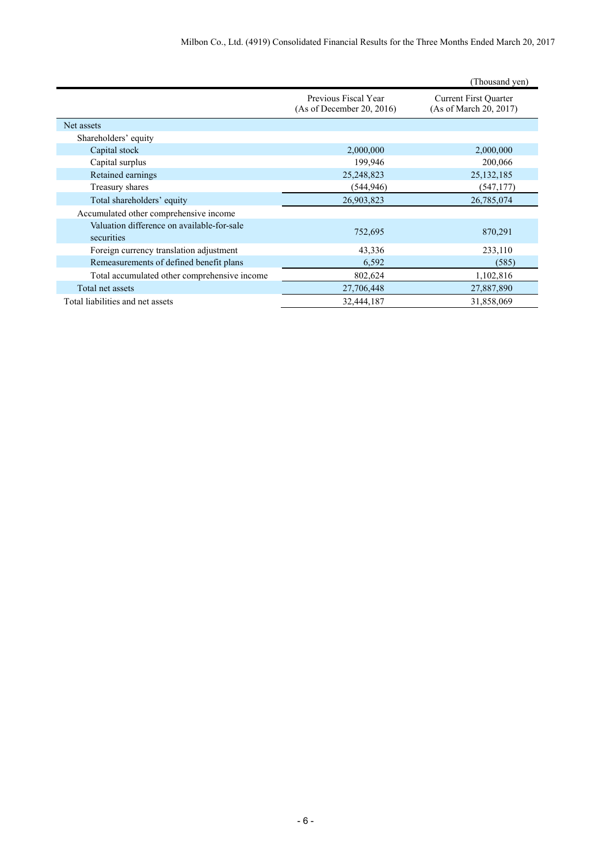|                                                          |                                                   | (Thousand yen)                                         |
|----------------------------------------------------------|---------------------------------------------------|--------------------------------------------------------|
|                                                          | Previous Fiscal Year<br>(As of December 20, 2016) | <b>Current First Quarter</b><br>(As of March 20, 2017) |
| Net assets                                               |                                                   |                                                        |
| Shareholders' equity                                     |                                                   |                                                        |
| Capital stock                                            | 2,000,000                                         | 2,000,000                                              |
| Capital surplus                                          | 199,946                                           | 200,066                                                |
| Retained earnings                                        | 25,248,823                                        | 25, 132, 185                                           |
| Treasury shares                                          | (544, 946)                                        | (547, 177)                                             |
| Total shareholders' equity                               | 26,903,823                                        | 26,785,074                                             |
| Accumulated other comprehensive income                   |                                                   |                                                        |
| Valuation difference on available-for-sale<br>securities | 752,695                                           | 870,291                                                |
| Foreign currency translation adjustment                  | 43,336                                            | 233,110                                                |
| Remeasurements of defined benefit plans                  | 6,592                                             | (585)                                                  |
| Total accumulated other comprehensive income             | 802,624                                           | 1,102,816                                              |
| Total net assets                                         | 27,706,448                                        | 27,887,890                                             |
| Total liabilities and net assets                         | 32,444,187                                        | 31,858,069                                             |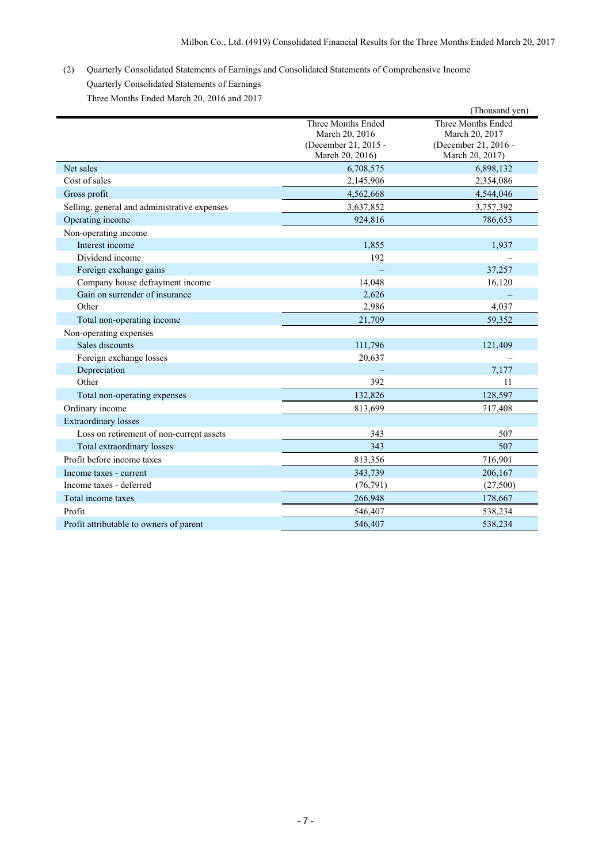## (2) Quarterly Consolidated Statements of Earnings and Consolidated Statements of Comprehensive Income Quarterly Consolidated Statements of Earnings Three Months Ended March 20, 2016 and 2017

|                                              |                                                                                 | (Thousand yen)                                                                  |
|----------------------------------------------|---------------------------------------------------------------------------------|---------------------------------------------------------------------------------|
|                                              | Three Months Ended<br>March 20, 2016<br>(December 21, 2015 -<br>March 20, 2016) | Three Months Ended<br>March 20, 2017<br>(December 21, 2016 -<br>March 20, 2017) |
| Net sales                                    | 6,708,575                                                                       | 6,898,132                                                                       |
| Cost of sales                                | 2,145,906                                                                       | 2,354,086                                                                       |
| Gross profit                                 | 4,562,668                                                                       | 4,544,046                                                                       |
| Selling, general and administrative expenses | 3,637,852                                                                       | 3,757,392                                                                       |
| Operating income                             | 924,816                                                                         | 786,653                                                                         |
| Non-operating income                         |                                                                                 |                                                                                 |
| Interest income                              | 1,855                                                                           | 1,937                                                                           |
| Dividend income                              | 192                                                                             |                                                                                 |
| Foreign exchange gains                       |                                                                                 | 37,257                                                                          |
| Company house defrayment income              | 14,048                                                                          | 16,120                                                                          |
| Gain on surrender of insurance               | 2,626                                                                           |                                                                                 |
| Other                                        | 2,986                                                                           | 4,037                                                                           |
| Total non-operating income                   | 21,709                                                                          | 59,352                                                                          |
| Non-operating expenses                       |                                                                                 |                                                                                 |
| Sales discounts                              | 111,796                                                                         | 121,409                                                                         |
| Foreign exchange losses                      | 20,637                                                                          |                                                                                 |
| Depreciation                                 |                                                                                 | 7,177                                                                           |
| Other                                        | 392                                                                             | 11                                                                              |
| Total non-operating expenses                 | 132,826                                                                         | 128,597                                                                         |
| Ordinary income                              | 813,699                                                                         | 717,408                                                                         |
| <b>Extraordinary losses</b>                  |                                                                                 |                                                                                 |
| Loss on retirement of non-current assets     | 343                                                                             | 507                                                                             |
| Total extraordinary losses                   | 343                                                                             | 507                                                                             |
| Profit before income taxes                   | 813,356                                                                         | 716,901                                                                         |
| Income taxes - current                       | 343,739                                                                         | 206,167                                                                         |
| Income taxes - deferred                      | (76, 791)                                                                       | (27,500)                                                                        |
| Total income taxes                           | 266,948                                                                         | 178,667                                                                         |
| Profit                                       | 546,407                                                                         | 538,234                                                                         |
| Profit attributable to owners of parent      | 546,407                                                                         | 538,234                                                                         |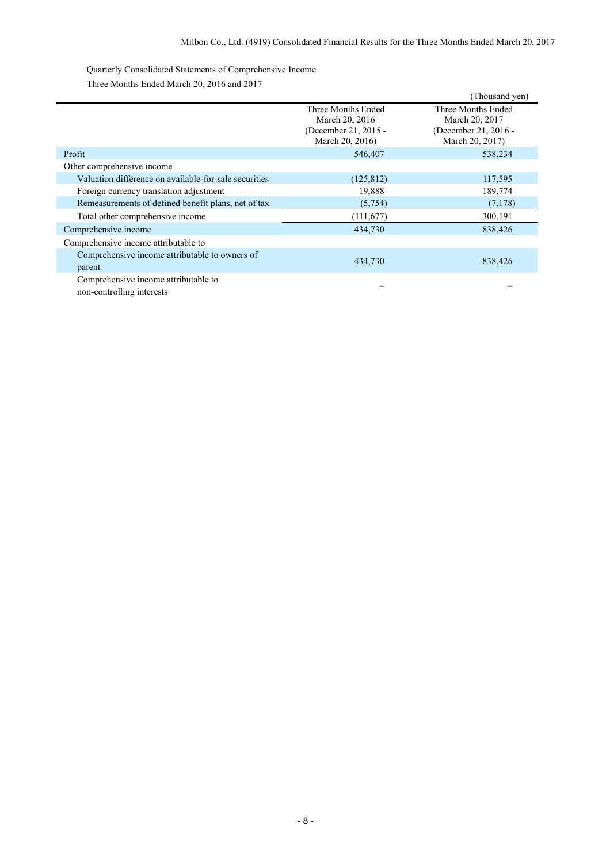Quarterly Consolidated Statements of Comprehensive Income Three Months Ended March 20, 2016 and 2017

|                                                          |                                         | (Thousand yen)                          |
|----------------------------------------------------------|-----------------------------------------|-----------------------------------------|
|                                                          | Three Months Ended<br>March 20, 2016    | Three Months Ended<br>March 20, 2017    |
|                                                          | (December 21, 2015 -<br>March 20, 2016) | (December 21, 2016 -<br>March 20, 2017) |
| Profit                                                   | 546,407                                 | 538,234                                 |
| Other comprehensive income                               |                                         |                                         |
| Valuation difference on available-for-sale securities    | (125, 812)                              | 117,595                                 |
| Foreign currency translation adjustment                  | 19,888                                  | 189,774                                 |
| Remeasurements of defined benefit plans, net of tax      | (5,754)                                 | (7,178)                                 |
| Total other comprehensive income                         | (111, 677)                              | 300,191                                 |
| Comprehensive income                                     | 434,730                                 | 838,426                                 |
| Comprehensive income attributable to                     |                                         |                                         |
| Comprehensive income attributable to owners of<br>parent | 434,730                                 | 838,426                                 |
| Comprehensive income attributable to                     |                                         |                                         |

non-controlling interests